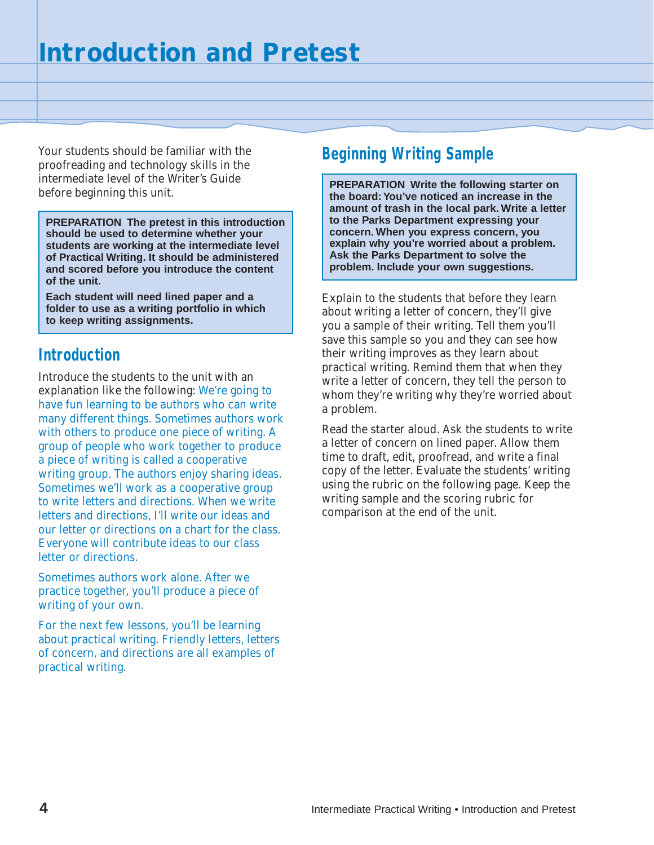Your students should be familiar with the proofreading and technology skills in the intermediate level of the Writer's Guide before beginning this unit.

**PREPARATION The pretest in this introduction should be used to determine whether your students are working at the intermediate level of Practical Writing. It should be administered and scored before you introduce the content of the unit.**

**Each student will need lined paper and a folder to use as a writing portfolio in which to keep writing assignments.**

## **Introduction**

Introduce the students to the unit with an explanation like the following: We're going to have fun learning to be authors who can write many different things. Sometimes authors work with others to produce one piece of writing. A group of people who work together to produce a piece of writing is called a cooperative writing group. The authors enjoy sharing ideas. Sometimes we'll work as a cooperative group to write letters and directions. When we write letters and directions, I'll write our ideas and our letter or directions on a chart for the class. Everyone will contribute ideas to our class letter or directions.

Sometimes authors work alone. After we practice together, you'll produce a piece of writing of your own.

For the next few lessons, you'll be learning about practical writing. Friendly letters, letters of concern, and directions are all examples of practical writing.

## **Beginning Writing Sample**

**PREPARATION Write the following starter on the board: You've noticed an increase in the amount of trash in the local park. Write a letter to the Parks Department expressing your concern. When you express concern, you explain why you're worried about a problem. Ask the Parks Department to solve the problem. Include your own suggestions.**

Explain to the students that before they learn about writing a letter of concern, they'll give you a sample of their writing. Tell them you'll save this sample so you and they can see how their writing improves as they learn about practical writing. Remind them that when they write a letter of concern, they tell the person to whom they're writing why they're worried about a problem.

Read the starter aloud. Ask the students to write a letter of concern on lined paper. Allow them time to draft, edit, proofread, and write a final copy of the letter. Evaluate the students' writing using the rubric on the following page. Keep the writing sample and the scoring rubric for comparison at the end of the unit.